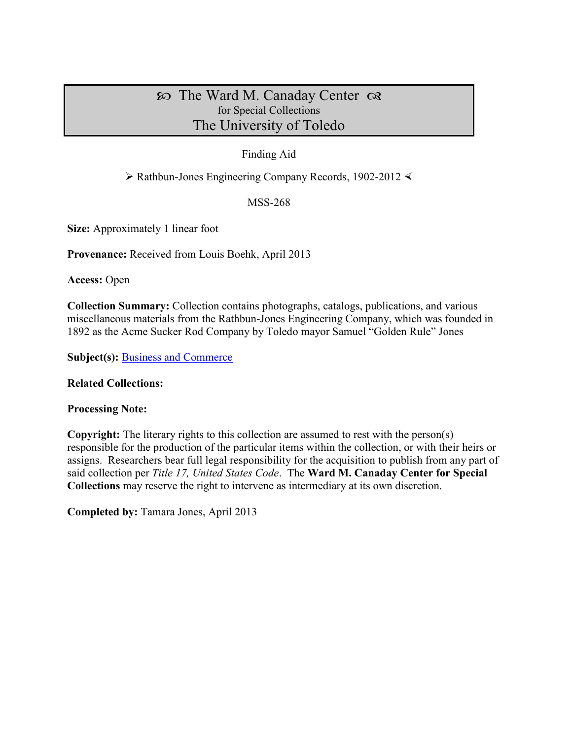# $\infty$  The Ward M. Canaday Center  $\infty$ for Special Collections The University of Toledo

### Finding Aid

 $\triangleright$  Rathbun-Jones Engineering Company Records, 1902-2012  $\triangleleft$ 

MSS-268

**Size:** Approximately 1 linear foot

**Provenance:** Received from Louis Boehk, April 2013

**Access:** Open

**Collection Summary:** Collection contains photographs, catalogs, publications, and various miscellaneous materials from the Rathbun-Jones Engineering Company, which was founded in 1892 as the Acme Sucker Rod Company by Toledo mayor Samuel "Golden Rule" Jones

**Subject(s):** [Business and Commerce](http://www.utoledo.edu/library/canaday/guidepages/business.html)

#### **Related Collections:**

#### **Processing Note:**

**Copyright:** The literary rights to this collection are assumed to rest with the person(s) responsible for the production of the particular items within the collection, or with their heirs or assigns. Researchers bear full legal responsibility for the acquisition to publish from any part of said collection per *Title 17, United States Code*. The **Ward M. Canaday Center for Special Collections** may reserve the right to intervene as intermediary at its own discretion.

**Completed by:** Tamara Jones, April 2013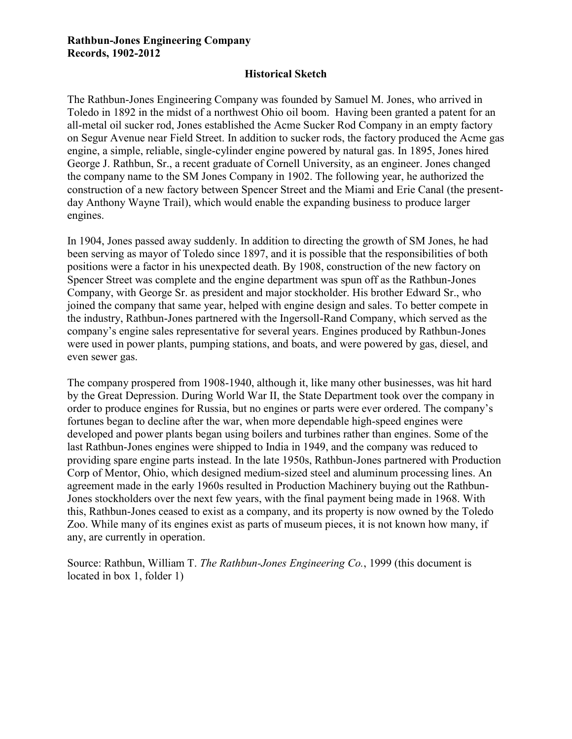#### **Rathbun-Jones Engineering Company Records, 1902-2012**

#### **Historical Sketch**

The Rathbun-Jones Engineering Company was founded by Samuel M. Jones, who arrived in Toledo in 1892 in the midst of a northwest Ohio oil boom. Having been granted a patent for an all-metal oil sucker rod, Jones established the Acme Sucker Rod Company in an empty factory on Segur Avenue near Field Street. In addition to sucker rods, the factory produced the Acme gas engine, a simple, reliable, single-cylinder engine powered by natural gas. In 1895, Jones hired George J. Rathbun, Sr., a recent graduate of Cornell University, as an engineer. Jones changed the company name to the SM Jones Company in 1902. The following year, he authorized the construction of a new factory between Spencer Street and the Miami and Erie Canal (the presentday Anthony Wayne Trail), which would enable the expanding business to produce larger engines.

In 1904, Jones passed away suddenly. In addition to directing the growth of SM Jones, he had been serving as mayor of Toledo since 1897, and it is possible that the responsibilities of both positions were a factor in his unexpected death. By 1908, construction of the new factory on Spencer Street was complete and the engine department was spun off as the Rathbun-Jones Company, with George Sr. as president and major stockholder. His brother Edward Sr., who joined the company that same year, helped with engine design and sales. To better compete in the industry, Rathbun-Jones partnered with the Ingersoll-Rand Company, which served as the company's engine sales representative for several years. Engines produced by Rathbun-Jones were used in power plants, pumping stations, and boats, and were powered by gas, diesel, and even sewer gas.

The company prospered from 1908-1940, although it, like many other businesses, was hit hard by the Great Depression. During World War II, the State Department took over the company in order to produce engines for Russia, but no engines or parts were ever ordered. The company's fortunes began to decline after the war, when more dependable high-speed engines were developed and power plants began using boilers and turbines rather than engines. Some of the last Rathbun-Jones engines were shipped to India in 1949, and the company was reduced to providing spare engine parts instead. In the late 1950s, Rathbun-Jones partnered with Production Corp of Mentor, Ohio, which designed medium-sized steel and aluminum processing lines. An agreement made in the early 1960s resulted in Production Machinery buying out the Rathbun-Jones stockholders over the next few years, with the final payment being made in 1968. With this, Rathbun-Jones ceased to exist as a company, and its property is now owned by the Toledo Zoo. While many of its engines exist as parts of museum pieces, it is not known how many, if any, are currently in operation.

Source: Rathbun, William T. *The Rathbun-Jones Engineering Co.*, 1999 (this document is located in box 1, folder 1)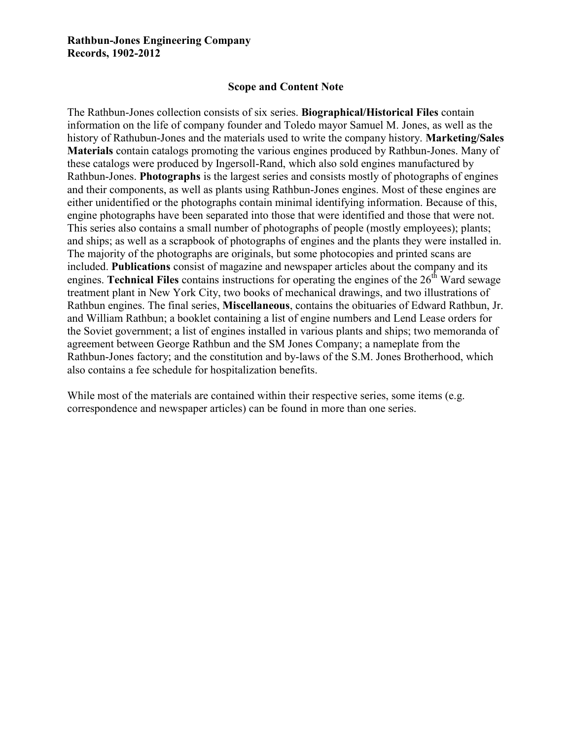#### **Rathbun-Jones Engineering Company Records, 1902-2012**

#### **Scope and Content Note**

The Rathbun-Jones collection consists of six series. **Biographical/Historical Files** contain information on the life of company founder and Toledo mayor Samuel M. Jones, as well as the history of Rathubun-Jones and the materials used to write the company history. **Marketing/Sales Materials** contain catalogs promoting the various engines produced by Rathbun-Jones. Many of these catalogs were produced by Ingersoll-Rand, which also sold engines manufactured by Rathbun-Jones. **Photographs** is the largest series and consists mostly of photographs of engines and their components, as well as plants using Rathbun-Jones engines. Most of these engines are either unidentified or the photographs contain minimal identifying information. Because of this, engine photographs have been separated into those that were identified and those that were not. This series also contains a small number of photographs of people (mostly employees); plants; and ships; as well as a scrapbook of photographs of engines and the plants they were installed in. The majority of the photographs are originals, but some photocopies and printed scans are included. **Publications** consist of magazine and newspaper articles about the company and its engines. **Technical Files** contains instructions for operating the engines of the 26<sup>th</sup> Ward sewage treatment plant in New York City, two books of mechanical drawings, and two illustrations of Rathbun engines. The final series, **Miscellaneous**, contains the obituaries of Edward Rathbun, Jr. and William Rathbun; a booklet containing a list of engine numbers and Lend Lease orders for the Soviet government; a list of engines installed in various plants and ships; two memoranda of agreement between George Rathbun and the SM Jones Company; a nameplate from the Rathbun-Jones factory; and the constitution and by-laws of the S.M. Jones Brotherhood, which also contains a fee schedule for hospitalization benefits.

While most of the materials are contained within their respective series, some items (e.g. correspondence and newspaper articles) can be found in more than one series.